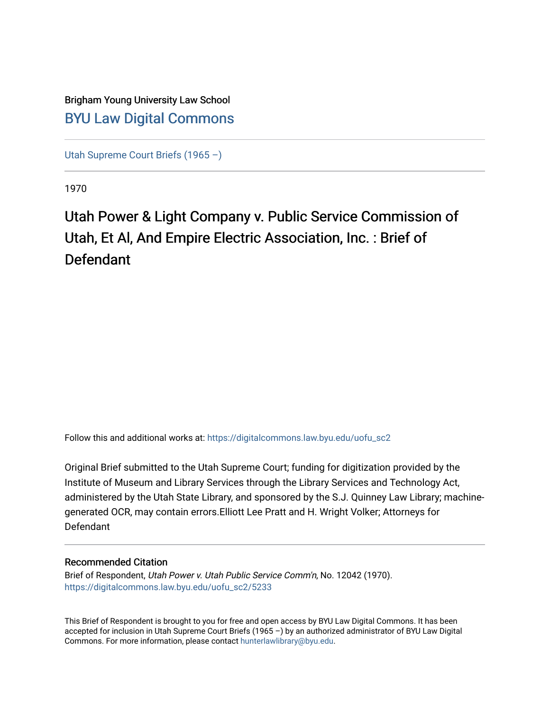# Brigham Young University Law School [BYU Law Digital Commons](https://digitalcommons.law.byu.edu/)

[Utah Supreme Court Briefs \(1965 –\)](https://digitalcommons.law.byu.edu/uofu_sc2)

1970

# Utah Power & Light Company v. Public Service Commission of Utah, Et Al, And Empire Electric Association, Inc. : Brief of Defendant

Follow this and additional works at: [https://digitalcommons.law.byu.edu/uofu\\_sc2](https://digitalcommons.law.byu.edu/uofu_sc2?utm_source=digitalcommons.law.byu.edu%2Fuofu_sc2%2F5233&utm_medium=PDF&utm_campaign=PDFCoverPages)

Original Brief submitted to the Utah Supreme Court; funding for digitization provided by the Institute of Museum and Library Services through the Library Services and Technology Act, administered by the Utah State Library, and sponsored by the S.J. Quinney Law Library; machinegenerated OCR, may contain errors.Elliott Lee Pratt and H. Wright Volker; Attorneys for Defendant

### Recommended Citation

Brief of Respondent, Utah Power v. Utah Public Service Comm'n, No. 12042 (1970). [https://digitalcommons.law.byu.edu/uofu\\_sc2/5233](https://digitalcommons.law.byu.edu/uofu_sc2/5233?utm_source=digitalcommons.law.byu.edu%2Fuofu_sc2%2F5233&utm_medium=PDF&utm_campaign=PDFCoverPages) 

This Brief of Respondent is brought to you for free and open access by BYU Law Digital Commons. It has been accepted for inclusion in Utah Supreme Court Briefs (1965 –) by an authorized administrator of BYU Law Digital Commons. For more information, please contact [hunterlawlibrary@byu.edu](mailto:hunterlawlibrary@byu.edu).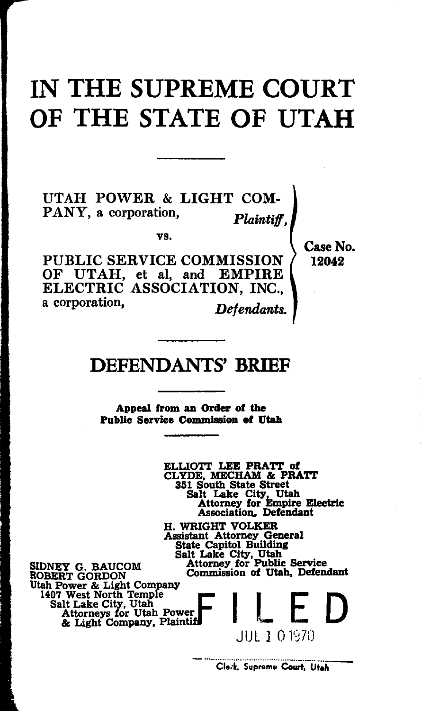# **IN THE SUPREME COURT OF THE STATE OF UTAH**

UTAH POWER & LIGHT COM-PANY, a corporation, *Plaintiff* 

vs.

PUBLIC SERVICE COMMISSION OF UTAH, et al, and EMPIRE ELECTRIC ASSOCIATION, INC., a corporation, *Defendants..*  Case No. 12042

# **DEFENDANTS' BRIEF**

Appeal from an Order of the Public Service Commission of Utah

ELLIOTT LEE PRATT of CLYDE, MECHAM & PRATT 351 South State Street Salt Lake City, Utah Attorney for Empire Electric Association. Defendant H. WRIGHT VOLKER Assistant Attorney General State Capitol Building Salt Lake City, Utah SIDNEY G. BAUCOM Attorney for Public Service ROBERT GORDON Commission of utah, Defendant ROBERT GORDON<br>Utah Power & Light Company<br>1407 West North Temple<br>Salt Lake City, Utah Salt Lake City, Utah Attorneys for Utah Power West North Temple<br>It Lake City, Utah<br>Attorneys for Utah Power<br>& Light Company, Plaintiff JUL 1 0 '!'j70

Clerk, Supreme Court, Utah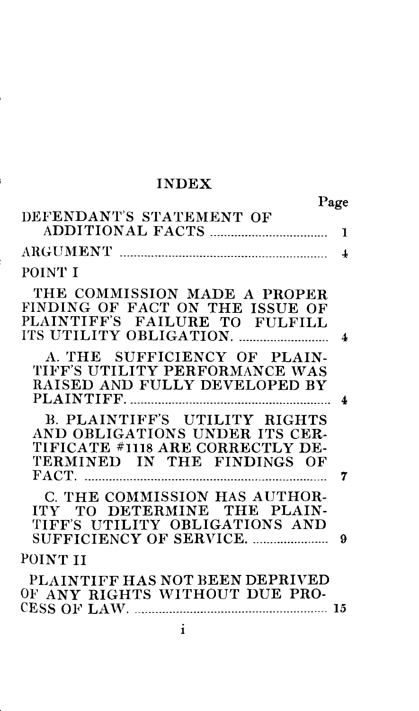# INDEX

|                                                                                                                                                        | Page |
|--------------------------------------------------------------------------------------------------------------------------------------------------------|------|
| DEFENDANT'S STATEMENT OF                                                                                                                               |      |
|                                                                                                                                                        | Ĭ.   |
|                                                                                                                                                        | 4    |
| POINT I                                                                                                                                                |      |
| THE COMMISSION MADE A PROPER<br>FINDING OF FACT ON THE ISSUE OF<br>PLAINTIFF'S FAILURE TO FULFILL                                                      | 4    |
| A. THE SUFFICIENCY OF PLAIN-<br>TIFF'S UTILITY PERFORMANCE WAS<br>RAISED AND FULLY DEVELOPED BY                                                        | 4    |
| <b>B. PLAINTIFF'S UTILITY RIGHTS</b><br>AND OBLIGATIONS UNDER ITS CER-<br>TIFICATE #1118 ARE CORRECTLY DE-<br>TERMINED IN THE FINDINGS OF<br>FACT<br>. | 7    |
| C. THE COMMISSION HAS AUTHOR-<br>ITY TO DETERMINE THE PLAIN-<br>TIFF'S UTILITY OBLIGATIONS AND<br>SUFFICIENCY OF SERVICE.                              | 9    |
| POINT II                                                                                                                                               |      |
| PLAINTIFF HAS NOT BEEN DEPRIVED<br>OF ANY RIGHTS WITHOUT DUE PRO-                                                                                      | 15   |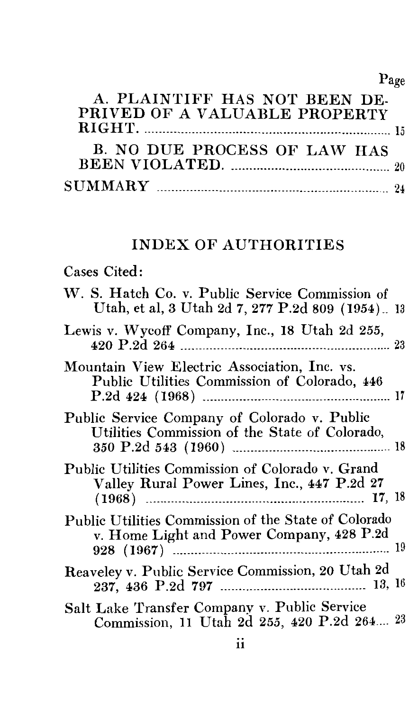## A. PLAINTIFF HAS NOT BEEN DE-PRIVED OF *A* VALUABLE PROPERTY RIG HT. -------------------------------------------------------------------- <sup>15</sup> **B. NO DUE PROCESS OF LAW HAS** BEEN VIOLATED. -------------------------------------------- <sup>20</sup> SUMMARY ---------------------------------------------------------------- <sup>24</sup>

Page

### INDEX OF AUTHORITIES

| Cases Cited: |  |
|--------------|--|
|              |  |

| W. S. Hatch Co. v. Public Service Commission of<br>Utah, et al, 3 Utah 2d 7, 277 P.2d 809 (1954) 13 |  |
|-----------------------------------------------------------------------------------------------------|--|
| Lewis v. Wycoff Company, Inc., 18 Utah 2d 255,                                                      |  |
| Mountain View Electric Association, Inc. vs.<br>Public Utilities Commission of Colorado, 446        |  |
| Public Service Company of Colorado v. Public<br>Utilities Commission of the State of Colorado,      |  |
| Public Utilities Commission of Colorado v. Grand<br>Valley Rural Power Lines, Inc., 447 P.2d 27     |  |
| Public Utilities Commission of the State of Colorado<br>v. Home Light and Power Company, 428 P.2d   |  |
| Reaveley v. Public Service Commission, 20 Utah 2d                                                   |  |
| Salt Lake Transfer Company v. Public Service<br>Commission, 11 Utah 2d 255, 420 P.2d 264 23         |  |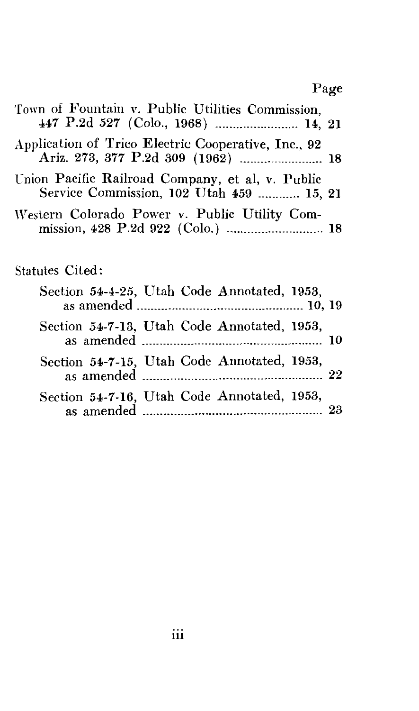# Page

| Town of Fountain v. Public Utilities Commission,<br>447 P.2d 527 (Colo., 1968)  14, 21       |  |
|----------------------------------------------------------------------------------------------|--|
| Application of Trico Electric Cooperative, Inc., 92<br>Ariz. 273, 377 P.2d 309 (1962)  18    |  |
| Union Pacific Railroad Company, et al, v. Public<br>Service Commission, 102 Utah 459  15, 21 |  |
| Western Colorado Power v. Public Utility Com-<br>mission, 428 P.2d 922 (Colo.)  18           |  |

# Statutes Cited:

| Section 54-4-25, Utah Code Annotated, 1953, |
|---------------------------------------------|
| Section 54-7-13, Utah Code Annotated, 1953, |
| Section 54-7-15, Utah Code Annotated, 1953, |
| Section 54-7-16, Utah Code Annotated, 1953, |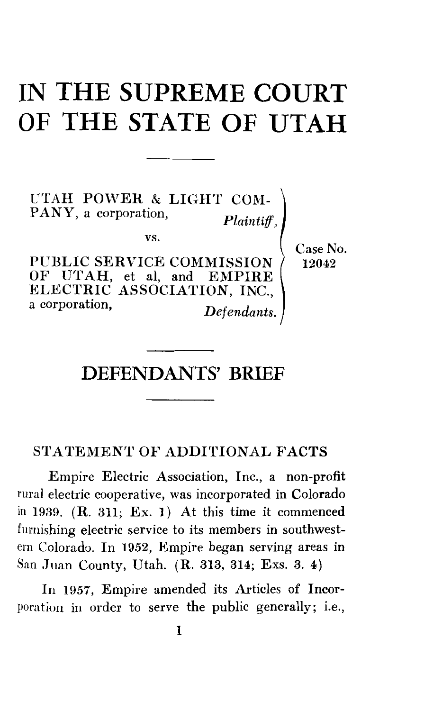# **IN THE SUPREME COURT OF THE STATE OF UTAH**

UTAH POWER & LIGHT COM-<br>PANY, a corporation, *Plaintiff*, PANY, a corporation,

vs.

PUBLIC SERVICE COMMISSION<br>OF UTAH, et al, and EMPIRE ELECTRIC ASSOCIATION, INC.,  $\boldsymbol{De$  f endants. Case No. 12042

# **DEFENDANTS' BRIEF**

### STATEMENT OF ADDITIONAL FACTS

Empire Electric Association, Inc., a non-profit rural electric cooperative, was incorporated in Colorado in 1939.  $(R. 311; Ex. 1)$  At this time it commenced furnishing electric service to its members in southwestern Colorado. In 1952, Empire began serving areas in San Juan County, Utah. (R. 313, 314; Exs. 3. 4)

In 1957, Empire amended its Articles of Incorporation in order to serve the public generally; i.e.,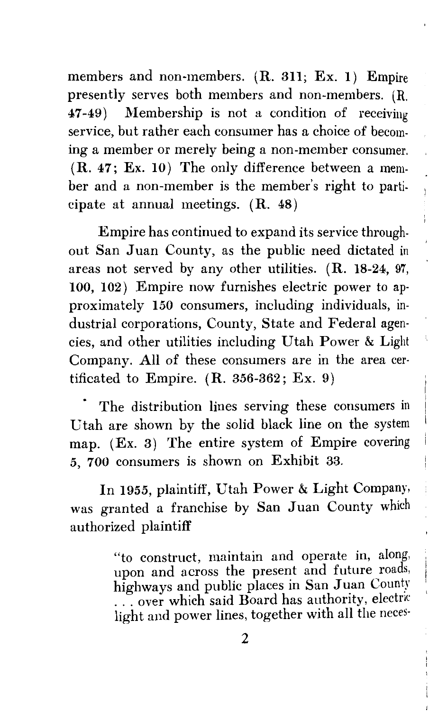members and non-members. (R. 311; Ex. 1) Empire presently serves both members and non-members. ( R.  $47-49$ ) Membership is not a condition of receiving service, but rather each consumer has a choice of becoming a member or merely being a non-member consumer.  $(R. 47; Ex. 10)$  The only difference between a member and a non-member is the member's right to participate at annual meetings. (R. 48)

Empire has continued to expand its service throughout San Juan County, as the public need dictated in areas not served by any other utilities. (R. 18-24, 97, 100, 102) Empire now furnishes electric power to approximately 150 consumers, including individuals, industrial corporations, County, State and Federal agencies, and other utilities including Utah Power & Light Company. All of these consumers are in the area certificated to Empire.  $(R. 356-362; Ex. 9)$ 

The distribution lines serving these consumers in Utah are shown by the solid black line on the system map. (Ex. 3) The entire system of Empire covering *5,* 700 consumers is shown on Exhibit 33.

In 1955, plaintiff, Utah Power & Light Company, was granted a franchise by San Juan County which authorized plaintiff

> "to construct, maintain and operate in, along, upon and across the present and future roads, highways and public places in San Juan County ... over which said Board has authority, electric light and power lines, together with all the neces·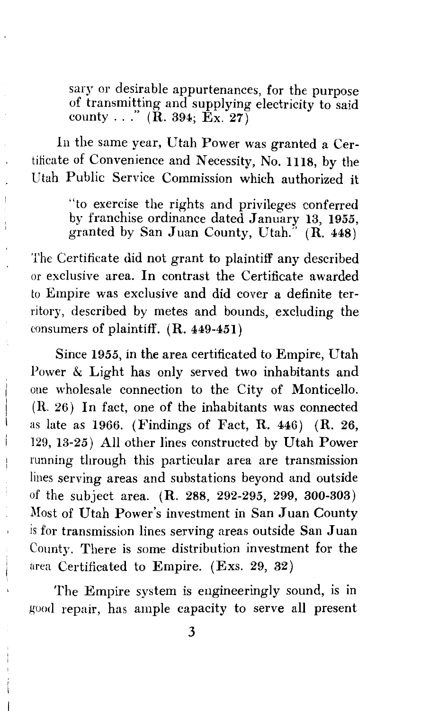sary or desirable appurtenances, for the purpose of transmitting and supplying electricity to said county . . ."  $(\mathbf{\hat{R}}. 394; \mathbf{\hat{E}_X. 27})$ 

In the same year, Utah Power was granted a Certificate of Convenience and Necessity, No. 1118, by the Utah Public Service Commission which authorized it

Ì

ţ

"to exercise the rights and privileges conferred by franchise ordinance dated January 13, 1955, granted by San Juan County, Utah."  $(R. 448)$ 

The Certificate did not grant to plaintiff any described or exclusive area. In contrast the Certificate awarded to Empire was exclusive and did cover a definite territory, described by metes and bounds, excluding the consumers of plaintiff. (R. 449-451)

Since 1955, in the area certificated to Empire, Utah Power & Light has only served two inhabitants and one wholesale connection to the City of Monticello. (R. 26) In fact, one of the inhabitants was connected as late as 1966. (Findings of Fact, R. 446) (R. 26, 129, 13-25) All other lines constructed by Utah Power running through this particular area are transmission lines serving areas and substations beyond and outside of the subject area. (R. 288, 292-295, 299, 300-303) Most of Utah Power's investment in San Juan County is for transmission lines serving areas outside San Juan County. There is some distribution investment for the area Certificated to Empire. (Exs. 29, 32)

The Empire system is engineeringly sound, is in good repair, has ample capacity to serve all present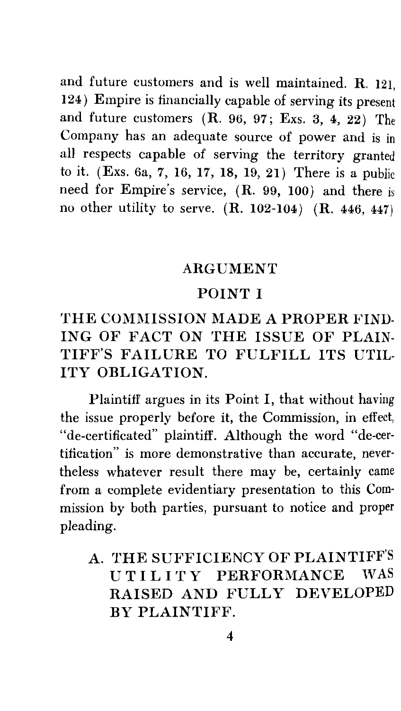and future customers and is well maintained. R. 121 124) Empire is financially capable of serving its present and future customers  $(R. 96, 97; Exs. 3, 4, 22)$  The Company has an adequate source of power and is in all respects capable of serving the territory granted to it. (Exs. 6a, 7, 16, 17, 18, 19, 21) There is a public need for Empire's service, ( R. 99, 100) and there is no other utility to serve. (R. 102-104) (R. 446, 447)

### ARGUMENT

### POINT I

## THE COMMISSION MADE A PROPER FIND-ING OF FACT ON THE ISSUE OF PLAIN-TIFF'S FAILURE TO FULFILL ITS UTIL-ITY OBLIGATION.

Plaintiff argues in its Point I, that without having the issue properly before it, the Commission, in effect, "de-certificated" plaintiff. Although the word "de-certification" is more demonstrative than accurate, nevertheless whatever result there may be, certainly came from a complete evidentiary presentation to this Commission by both parties, pursuant to notice and proper pleading.

A. THE SUFFICIENCY OF PLAINTIFF'S UTILITY PERFORMANCE WAS RAISED AND FULLY DEVELOPED BY PLAINTIFF.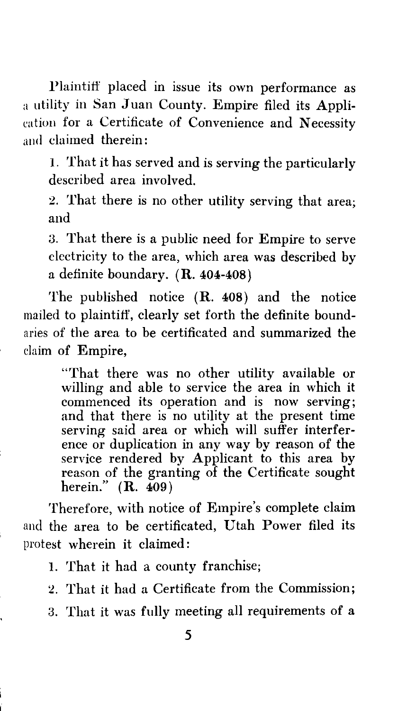Plaintiff placed in issue its own performance as a utility in San Juan County. Empire filed its Application for a Certificate of Convenience and Necessity and claimed therein:

1. That it has served and is serving the particularly described area involved.

2. That there is no other utility serving that area; and

3. That there is a public need for Empire to serve electricity to the area, which area was described by a definite boundary. (R. 404-408)

The published notice  $(R. 408)$  and the notice mailed to plaintiff, clearly set forth the definite boundaries of the area to be certificated and summarized the claim of Empire,

> "That there was no other utility available or willing and able to service the area in which it commenced its operation and is now serving; and that there is no utility at the present time serving said area or which will suffer interference or duplication in any way by reason of the service rendered by Applicant to this area by reason of the granting of the Certificate sought herein."  $(R. 409)$

Therefore, with notice of Empire's complete claim and the area to be certificated, Utah Power filed its protest wherein it claimed:

1. That it had a county franchise;

2. That it had a Certificate from the Commission;

3. That it was fully meeting all requirements of a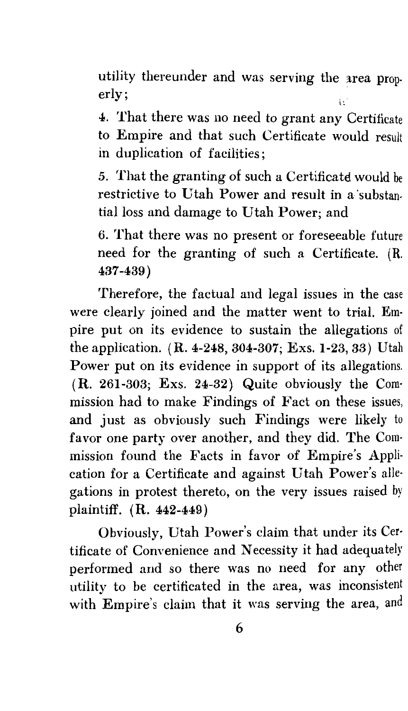utility thereunder and was serving the area prop- $\text{erly:}$  is a set of the set of the set of the set of the set of the set of the set of the set of the set of the set of the set of the set of the set of the set of the set of the set of the set of the set of the set of t

4. That there was no need to grant any Certificate to Empire and that such Certificate would result in duplication of facilities;

*5.* That the granting of such a Certificate would be restrictive to Utah Power and result in a 'substantial loss and damage to Utah Power; and

6. That there was no present or foreseeable future need for the granting of such a Certificate. (R. 437-439)

Therefore, the factual and legal issues in the case were clearly joined and the matter went to trial. Em· pire put on its evidence to sustain the allegations of the application. (R. 4-248, 304-307; Exs. 1-23, 33) Utah Power put on its evidence in support of its allegations. (R. 261-303; Exs. 24-32) Quite obviously the Com· mission had to make Findings of Fact on these issues, and just as obviously such Findings were likely to favor one party over another, and they did. The Com· mission found the Facts in favor of Empire's Appli· cation for a Certificate and against Utah Power's alle· gations in protest thereto, on the very issues raised by plaintiff. (R. 442-449)

Obviously, Utah Power's claim that under its Cer· tificate of Convenience and Necessity it had adequately performed and so there was no need for any other utilitv to be certificated in the area, was inconsistent with Empire's claim that it was serving the area, and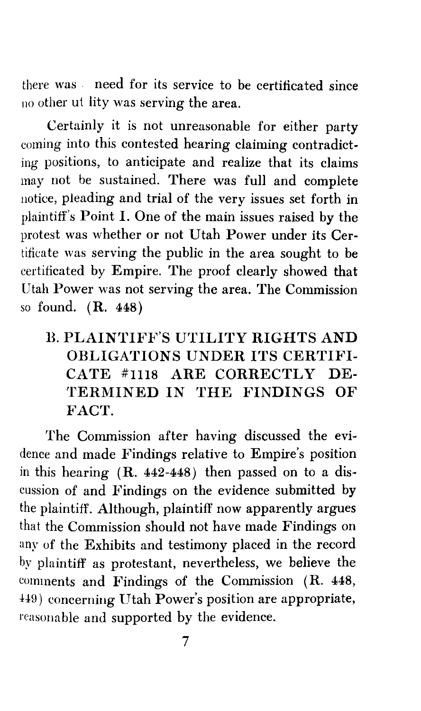there was . need for its service to be certificated since no other ut lity was serving the area.

Certainly it is not unreasonable for either party coming into this contested hearing claiming contradicting positions, to anticipate and realize that its claims may not be sustained. There was full and complete notice, pleading and trial of the very issues set forth in plaintiff's Point I. One of the main issues raised by the protest was whether or not Utah Power under its Certificate was serving the public in the area sought to be certificated by Empire. The proof clearly showed that Utah Power was not serving the area. The Commission so found. ( R. 448)

ll. PLAINTIFF'S UTILITY RIGHTS AND OBLIGATIONS UNDER ITS CERTIFI-CATE #1118 ARE CORRECTLY DE-TERMINED IN THE FINDINGS OF FACT.

The Commission after having discussed the evidence and made Findings relative to Empire's position in this hearing (R. 442-448) then passed on to a discussion of and Findings on the evidence submitted by the plaintiff. Although, plaintiff now apparently argues that the Commission should not have made Findings on any of the Exhibits and testimony placed in the record by plaintiff as protestant, nevertheless, we believe the comments and Findings of the Commission (R. 448, H9) concerning Utah Power's position are appropriate, reasonable and supported by the evidence.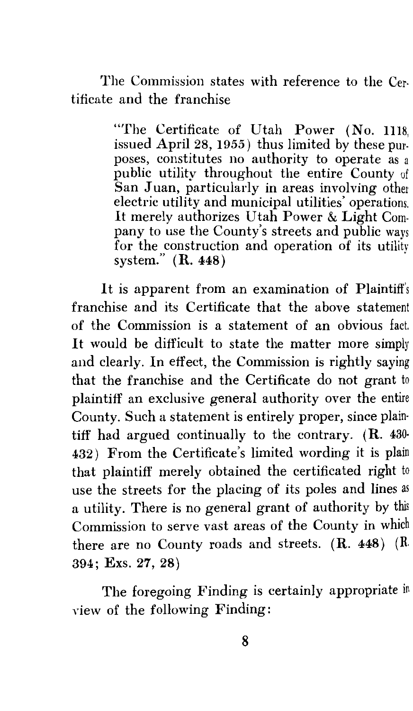The Commission states with reference to the Cer· tificate and the franchise

> "The Certificate of Utah Power (No. 1118, issued April 28, 1955) thus limited by these purposes, constitutes no authority to operate as a public utility throughout the entire County of San Juan, particularly in areas involving other electric utility and municipal utilities' operations. It merely authorizes Utah Power & Light Company to use the County's streets and public ways for the construction and operation of its utility system." (R. 448)

It is apparent from an examination of Plaintiff's franchise and its Certificate that the above statement of the Commission is a statement of an obvious fact. It would be difficult to state the matter more simply and clearly. In effect, the Commission is rightly saying that the franchise and the Certificate do not grant to plaintiff an exclusive general authority over the entire County. Such a statement is entirely proper, since plaintiff had argued continually to the contrary. (R. 430- 432) From the Certificate's limited wording it is plain that plaintiff merely obtained the certificated right to use the streets for the placing of its poles and lines as a utility. There is no general grant of authority by this Commission to serve vast areas of the County in which there are no County roads and streets. (R. 448) (R. 394; Exs. 27, 28)

The foregoing Finding is certainly appropriate in view of the fallowing Finding: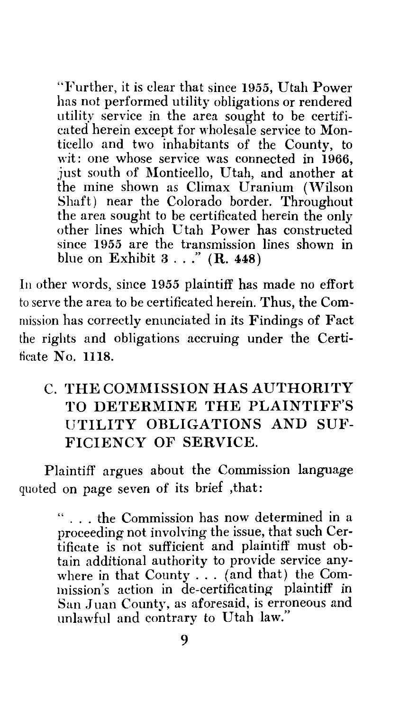"Further, it is clear that since 1955, Utah Power has not performed utility obligations or rendered utility service in the area sought to be certificated herein except for wholesale service to Monticello and two inhabitants of the County, to wit: one whose service was connected in 1966. just south of Monticello, Utah, and another at the mine shown as Climax Uranium (Wilson Shaft) near the Colorado border. Throughout the area sought to be certificated herein the only other lines which Utah Power has constructed since 1955 are the transmission lines shown in blue on Exhibit  $3 \ldots$ " (R. 448)

In other words, since 1955 plaintiff has made no effort to serve the area to be certificated herein. Thus, the Commission has correctly enunciated in its Findings of Fact the rights and obligations accruing under the Certificate No. 1118.

## C. THE COMMISSION HAS AUTHORITY TO DETERMINE THE PLAINTIFF'S UTILITY OBLIGATIONS AND SUF-FICIENCY OF SERVICE.

Plaintiff argues about the Commission language quoted on page seven of its brief ,that:

> " . . . the Commission has now determined in a proceeding not involving the issue, that such Certificate is not sufficient and plaintiff must obtain additional authority to provide service anywhere in that County ... (and that) the Commission's action in de-certificating plaintiff in San Juan County, as aforesaid, is erroneous and unlawful and contrary to Utah law."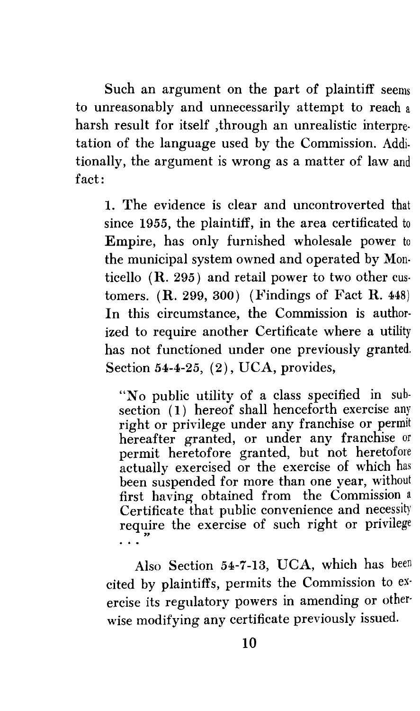Such an argument on the part of plaintiff seems to unreasonably and unnecessarily attempt to reach a harsh result for itself ,through an unrealistic interpre· ta tion of the language used by the Commission. Additionally, the argument is wrong as a matter of law and fact:

1. The evidence is clear and uncontroverted that since 1955, the plaintiff, in the area certificated to Empire, has only furnished wholesale power to the municipal system owned and operated by Monticello  $(R. 295)$  and retail power to two other customers. (R. 299, 300) (Findings of Fact R. 448) In this circumstance, the Commission is author· ized to require another Certificate where a utility has not functioned under one previously granted. Section 54-4-25, (2), UCA, provides,

"No public utility of a class specified in subsection (1) hereof shall henceforth exercise any right or privilege under any franchise or permit hereafter granted, or under any franchise or permit heretofore granted, but not heretofore actually exercised or the exercise of which has been suspended for more than one year, without first having obtained from the Commission a Certificate that public convenience and necessity require the exercise of such right or privilege "

Also Section 54-7-13, UCA, which has been cited by plaintiffs, permits the Commission to ex· ercise its regulatory powers in amending or other· wise modifying any certificate previously issued.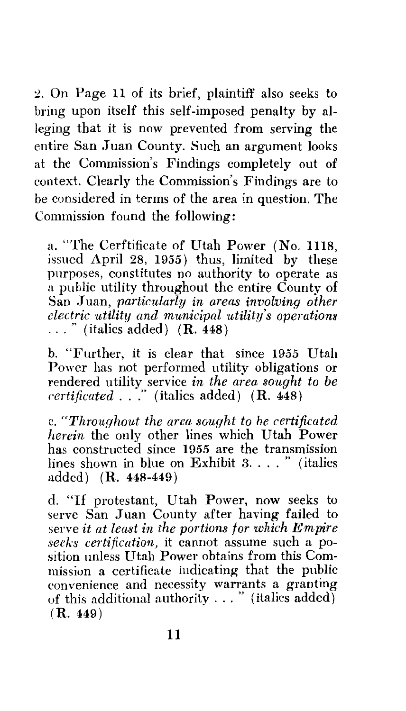2. On Page 11 of its brief, plaintiff also seeks to bring upon itself this self-imposed penalty by alleging that it is now prevented from serving the entire San Juan County. Such an argument looks at the Commission's Findings completely out of context. Clearly the Commission's Findings are to be considered in terms of the area in question. The Commission found the following:

a. "The Cerftificate of Utah Power (No. 1118, issued April 28, 1955) thus, limited by these purposes, constitutes no authority to operate as a public utility throughout the entire County of San Juan, *particularly in areas involving other electric utility and municipal utility's operations* ... " (italics added) ( R. 448)

b. "Further, it is clear that since 1955 Utah Power has not performed utility obligations or rendered utility service *in the area sought to be certificated* ... " (italics added) ( R. 448)

c. *"Throughout the area sought to be certificated herein* the only other lines which Utah Power has constructed since 1955 are the transmission lines shown in blue on Exhibit 3. . . . " (italies added) (R. 448-449)

d. "If protestant, Utah Power, now seeks to serve San Juan County after having failed to serve *it at least in the portions for which Empire seeks certification,* it cannot assume such a position unless Utah Power obtains from this Commission a certificate indicating that the public convenience and necessity warrants a granting of this additional authority ... " (italics added) (R. 449)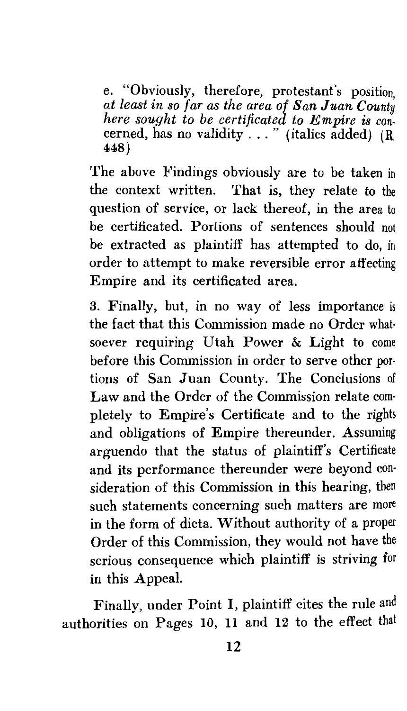e. "Obviously, therefore, protestant's position *at least in so far as the area of San Juan County here sought to be certificated to Empire is con.*  cerned, has no validity ... " (italics added) (R. 448)

The above Findings obviously are to be taken in the context written. That is, they relate to the question of service, or lack thereof, in the area to be certificated. Portions of sentences should not be extracted as plaintiff has attempted to do, in order to attempt to make reversible error affecting Empire and its certificated area.

3. Finally, but, in no way of less importance is the fact that this Commission made no Order what· soever requiring Utah Power & Light to come before this Commission in order to serve other portions of San Juan County. The Conclusions of Law and the Order of the Commission relate completely to Empire's Certificate and to the rights and obligations of Empire thereunder. Assuming arguendo that the status of plaintiff's Certificate and its performance thereunder were beyond consideration of this Commission in this hearing, then such statements concerning such matters are more in the form of dicta. Without authority of a proper Order of this Commission, they would not have the serious consequence which plaintiff is striving for in this Appeal.

Finally, under Point I, plaintiff cites the rule and authorities on Pages 10, **11** and 12 to the effect that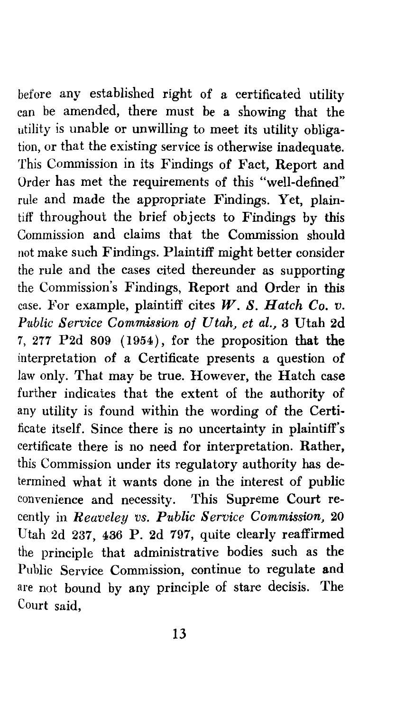before any established right of a certificated utility can be amended, there must be a showing that the utility is unable or unwilling to meet its utility obligation, or that the existing service is otherwise inadequate. This Commission in its Findings of Fact, Report and Order has met the requirements of this "well-defined" rule and made the appropriate Findings. Yet, plaintiff throughout the brief objects to Findings by this Commission and claims that the Commission should not make such Findings. Plaintiff might better consider the rule and the cases cited thereunder as supporting the Commission's Findings, Report and Order in this case. For example, plaintiff cites *W. S. Hatch Co. v. Public Service Commission of Utah, et al.,* 3 Utah 2d 7, 277 P2d 809 (1954), for the proposition that the interpretation of a Certificate presents a question of law only. That may be true. However, the Hatch case further indicates that the extent of the authority of any utility is found within the wording of the Certificate itself. Since there is no uncertainty in plaintiff's certificate there is no need for interpretation. Rather, this Commission under its regulatory authority has determined what it wants done in the interest of public convenience and necessity. This Supreme Court recently in *Reaveley vs. Public Service Commission,* 20 Utah 2d 237, 436 P. 2d 797, quite clearly reaffirmed the principle that administrative bodies such as the Public Service Commission, continue to regulate and are not bound by any principle of stare decisis. The Court said,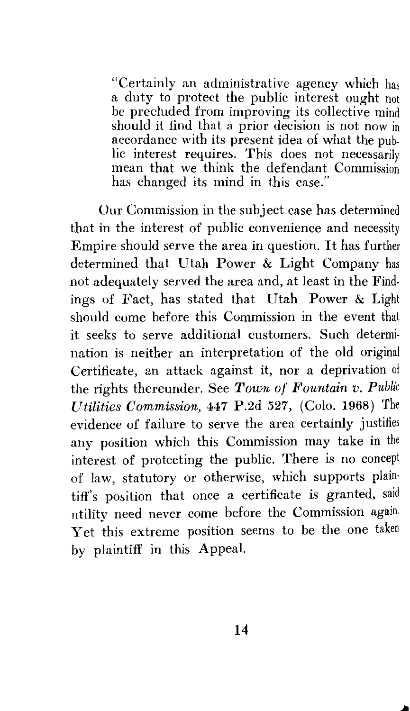"Certainly an administrative agency which has a duty to protect the public interest ought not be precluded from improving its collective mind should it find that a prior decision is not now in accordance with its present idea of what the public interest requires. This does not necessarily mean that we think the defendant Commission has changed its mind in this case."

Our Commission in the subject case has determined that in the interest of public convenience and necessity Empire should serve the area in question. It has further determined that Utah Power & Light Company has not adequately served the area and, at least in the Findings of Fact, has stated that Utah Power & Light should come before this Commission in the event that it seeks to serve additional customers. Such determination is neither an interpretation of the old original Certificate, an attack against it, nor a deprivation of the rights thereunder. See *Town of Fountain v. Public Utilities Commission,* 447 P.2d 527, (Colo. 1968) The evidence of failure to serve the area certainly justifies any position which this Commission may take in the interest of protecting the public. There is no concept of law, statutory or otherwise, which supports plaintiff's position that once a certificate is granted, said utility need never come before the Commission again. Yet this extreme position seems to be the one taken by plaintiff in this Appeal.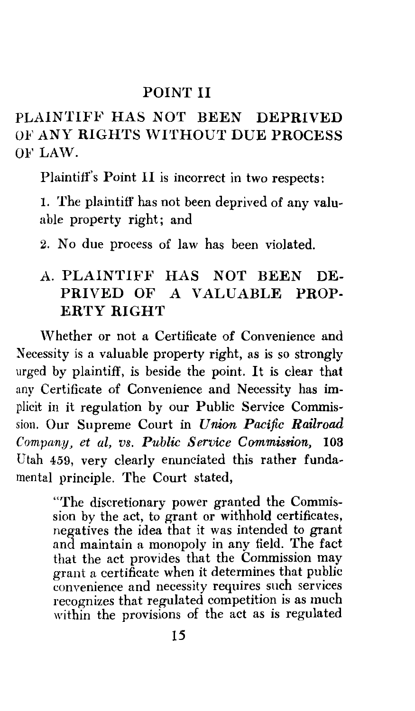#### POINT II

PLAINTIFF HAS NOT BEEN DEPRIVED OF ANY RIGHTS WITHOUT DUE PROCESS OF LAW.

Plaintiff's Point II is incorrect in two respects:

I. The plaintiff has not been deprived of any valuable property right; and

2. No due process of law has been violated.

### A. PLAINTIFF HAS NOT BEEN DE-PRIVED OF A VALUABLE PROP-ERTY RIGHT

'Vhether or not a Certificate of Convenience and Necessity is a valuable property right, as is so strongly urged by plaintiff, is beside the point. It is clear that any Certificate of Convenience and Necessity has implicit in it regulation by our Public Service Commission. Our Supreme Court in *Union Pacific Railroad Company, et al, vs. Public Service Commission,* 103 Utah 459, very clearly enunciated this rather fundamental principle. The Court stated,

> "The discretionary power granted the Commission by the act, to grant or withhold certificates, negatives the idea that it was intended to grant and maintain a monopoly in any field. The fact that the act provides that the Commission may grant a certificate when it determines that public convenience and necessity requires such services recognizes that regulated competition is as much within the provisions of the act as is regulated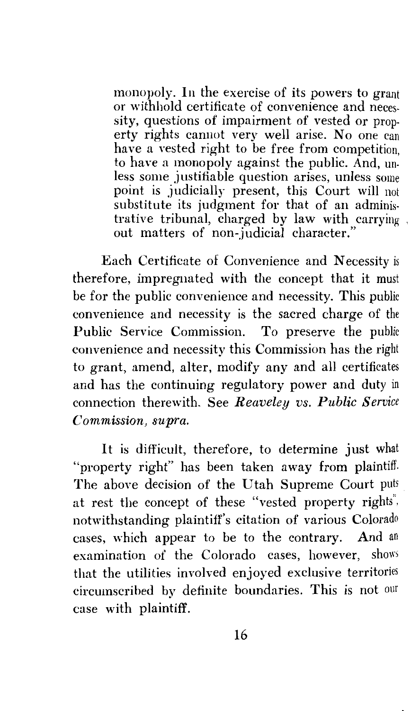monopoly. In the exercise of its powers to grant or withhold certificate of convenience and necessity, questions of impairment of vested or property rights cannot very well arise. No one can have a vested right to be free from competition. to have a monopoly against the public. And, unless some justifiable question arises, unless some point is judicially present, this Court will not substitute its judgment for that of an administrative tribunal, charged by law with carrying out matters of non-judicial character.'

Each Certificate of Convenience and Necessity is therefore, impregnated with the concept that it must be for the public convenience and necessity. This public convenience and necessity is the sacred charge of the Public Service Commission. To preserve the public convenience and necessity this Commission has the right to grant, amend, alter, modify any and all certificates and has the continuing regulatory power and duty in connection therewith. See *Reaveley vs. Public Service Commission, supra.* 

It is difficult, therefore, to determine just what "property right" has been taken away from plaintiff. The above decision of the Utah Supreme Court puts at rest the concept of these "vested property rights". notwithstanding plaintiff's citation of various Colorado cases, which appear to be to the contrary. And an examination of the Colorado cases, however, show that the utilities involved enjoyed exclusive territorie circumscribed by definite boundaries. This is not our case with plaintiff.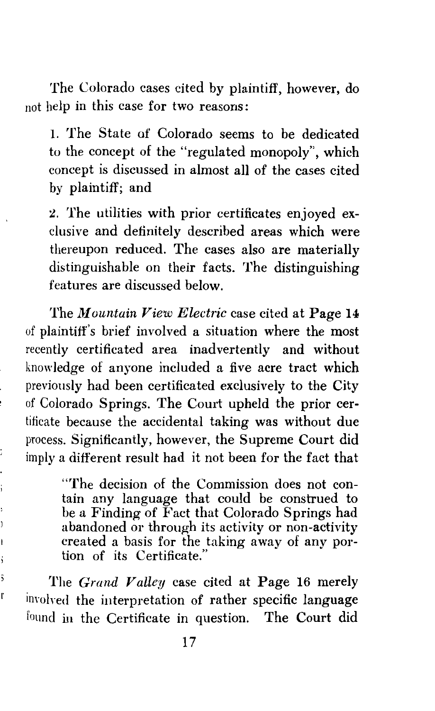The Colorado cases cited by plaintiff, however, do not help in this case for two reasons:

1. The State of Colorado seems to be dedicated to the concept of the "regulated monopoly", which concept is discussed in almost all of the cases cited by plaintiff; and

*:l.* The utilities with prior certificates enjoyed exclusive and definitely described areas which were thereupon reduced. The cases also are materially distinguishable on their facts. The distinguishing features are discussed below.

The *Mountain View Electric* case cited at Page 14 of plaintiff's brief involved a situation where the most recently certificated area inadvertently and without knowledge of anyone included a five acre tract which previously had been certificated exclusively to the City of Colorado Springs. The Court upheld the prior certificate because the accidental taking was without due process. Significantly, however, the Supreme Court did imply a different result had it not been for the fact that

> "The decision of the Commission does not contain any language that could be construed to be a Finding of Fact that Colorado Springs had abandoned or through its activity or non-activity created a basis for the taking away of any portion of its Certificate."

The *Grand Valley* case cited at Page 16 merely involved the interpretation of rather specific language found in the Certificate in question. The Court did

ŝ ľ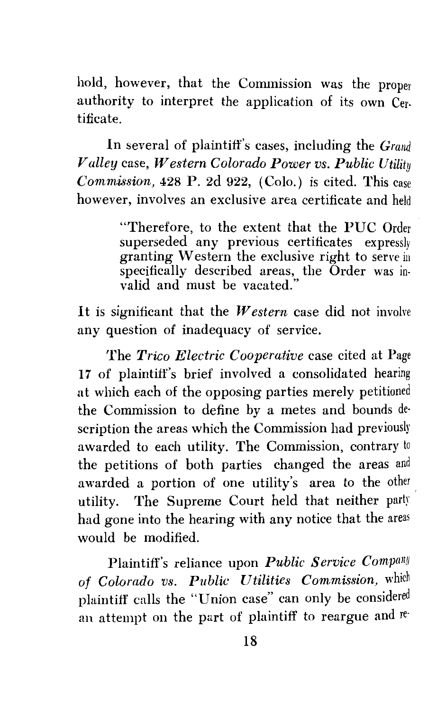hold, however, that the Commission was the proper authority to interpret the application of its own Certificate.

In several of plaintiff's cases, including the *Grand Valley* case, *Western Colorado Power vs. Public Utility*  Commission, 428 P. 2d 922, (Colo.) is cited. This case however, involves an exclusive area certificate and held

> "Therefore, to the extent that the PUC Order superseded any previous certificates expressly granting Western the exclusive right to serve in specifically described areas, the Order was invalid and must be vacated."

It is significant that the *Western* case did not involve any question of inadequacy of service.

The *Trico Electric Cooperative* case cited at Page 17 of plaintiff's brief involved a consolidated hearing at which each of the opposing parties merely petitioned the Commission to define by a metes and bounds de· scription the areas which the Commission had previously awarded to each utility. The Commission, contrary to the petitions of both parties changed the areas and awarded a portion of one utility's area to the other utility. The Supreme Court held that neither party had gone into the hearing with any notice that the areas would be modified.

Plaintiff's reliance upon *Public Service Company of Colorado vs. Public Utilities Commission,* which plaintiff calls the "Union case" can only be considered an attempt on the part of plaintiff to reargue and re·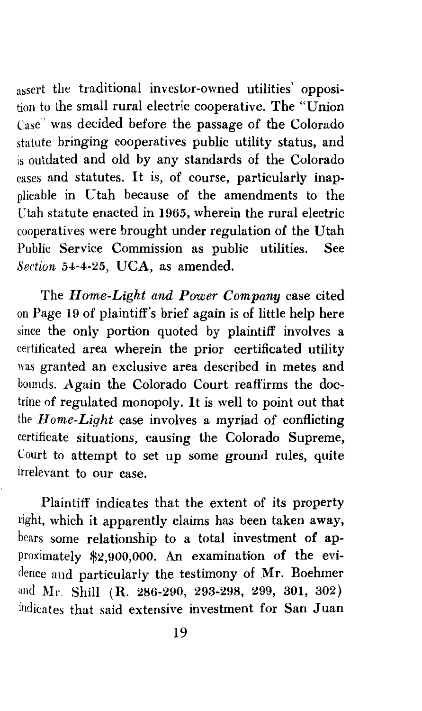assert the traditional investor-owned utilities' opposition to the small rural electric cooperative. The "Union Case' was decided before the passage of the Colorado statute bringing cooperatives public utility status, and is outdated and old by any standards of the Colorado cases and statutes. It is, of course, particularly inapplicable in Utah because of the amendments to the Utah statute enacted in 1965, wherein the rural electric cooperatives were brought under regulation of the Utah Public Service Commission as public utilities. See *Section* 54-4-25, UCA, as amended.

The *Home-Light and Power Company* case cited on Page 19 of plaintiff's brief again is of little help here since the only portion quoted by plaintiff involves a certificated area wherein the prior certificated utility was granted an exclusive area described in metes and bounds. Again the Colorado Court reaffirms the doctrine of regulated monopoly. It is well to point out that the *Home-Light* case involves a myriad of conflicting certificate situations, causing the Colorado Supreme, Court to attempt to set up some ground rules, quite irrelevant to our case.

Plaintiff indicates that the extent of its property right, which it apparently claims has been taken away, bears some relationship to a total investment of approximately \$2,900,000. An examination of the evidence and particularly the testimony of Mr. Boehmer and Mr. Shill (R. 286-290, 293-298, 299, 301, 302) indicates that said extensive investment for San Juan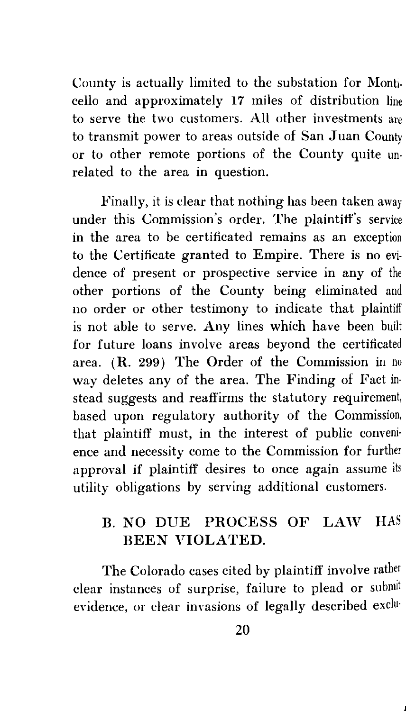County is actually limited to the substation for Monticello and approximately 17 miles of distribution line to serve the two customers. All other investments are to transmit power to areas outside of San Juan County or to other remote portions of the County quite unrelated to the area in question.

Finally, it is clear that nothing has been taken away under this Commission's order. The plaintiff's service in the area to be certificated remains as an exception to the Certificate granted to Empire. There is no evidence of present or prospective service in any of the other portions of the County being eliminated and no order or other testimony to indicate that plaintiff is not able to serve. Any lines which have been built for future loans involve areas beyond the certificated area. ( R. 299) The Order of the Commission in no way deletes any of the area. The Finding of Fact in· stead suggests and reaffirms the statutory requirement, based upon regulatory authority of the Commission, that plaintiff must, in the interest of public conveni· ence and necessity come to the Commission for further approval if plaintiff desires to once again assume its utility obligations by serving additional customers.

## B. NO DUE PROCESS OF LAW HAS BEEN VIOLATED.

The Colorado cases cited by plaintiff involve rather clear instances of surprise, failure to plead or submit evidence, or clear invasions of legally described exclu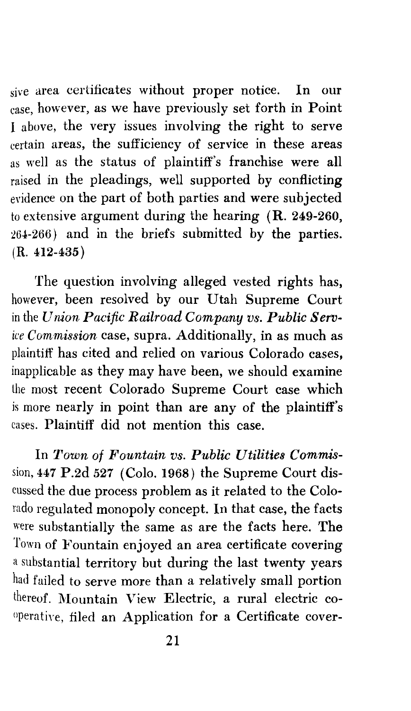sive area certificates without proper notice. In our case, however, as we have previously set forth in Point I above, the very issues involving the right to serve certain areas, the sufficiency of service in these areas as well as the status of plaintiff's franchise were all raised in the pleadings, well supported by conflicting evidence on the part of both parties and were subjected to extensive argument during the hearing  $(R. 249-260,$ :!64-266) and in the briefs submitted by the parties. (R. 412-435)

The question involving alleged vested rights has, however, been resolved by our Utah Supreme Court in the *Union Pacific Railroad Company vs. Public Service Commission* case, supra. Additionally, in as much as plaintiff has cited and relied on various Colorado cases, inapplicable as they may have been, we should examine the most recent Colorado Supreme Court case which is more nearly in point than are any of the plaintiff's cases. Plaintiff did not mention this case.

In *Town of Fountain vs. Public Utilities Commis*sion,  $447$  P.2d  $527$  (Colo. 1968) the Supreme Court discussed the due process problem as it related to the Colorado regulated monopoly concept. In that case, the facts were substantially the same as are the facts here. The Town of Fountain enjoyed an area certificate covering a substantial territory but during the last twenty years had failed to serve more than a relatively small portion thereof. Mountain View Electric, a rural electric cooperative, filed an Application for a Certificate cover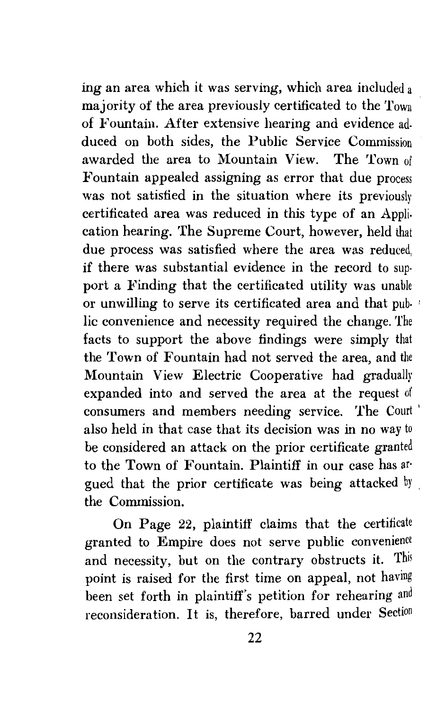ing an area which it was serving, which area included a majority of the area previously certificated to the Town of Fountain. After extensive hearing and evidence adduced on both sides, the Public Service Commission awarded the area to Mountain View. The Town of Fountain appealed assigning as error that due process was not satisfied in the situation where its previously certificated area was reduced in this type of an Application hearing. The Supreme Court, however, held that due process was satisfied where the area was reduced, if there was substantial evidence in the record to support a Finding that the certificated utility was unable or unwilling to serve its certificated area and that pub- <sup>1</sup> lie convenience and necessity required the change. The facts to support the above findings were simply that the Town of Fountain had not served the area, and the Mountain View Electric Cooperative had gradually expanded into and served the area at the request of consumers and members needing service. The Court ' also held in that case that its decision was in no way to be considered an attack on the prior certificate granted to the Town of Fountain. Plaintiff in our case has ar· gued that the prior certificate was being attacked by the Commission.

On Page 22, plaintiff claims that the certificate granted to Empire does not serve public convenience and necessity, but on the contrary obstructs it. This point is raised for the first time on appeal, not having been set forth in plaintiff's petition for rehearing and reconsideration. It is, therefore, barred under Section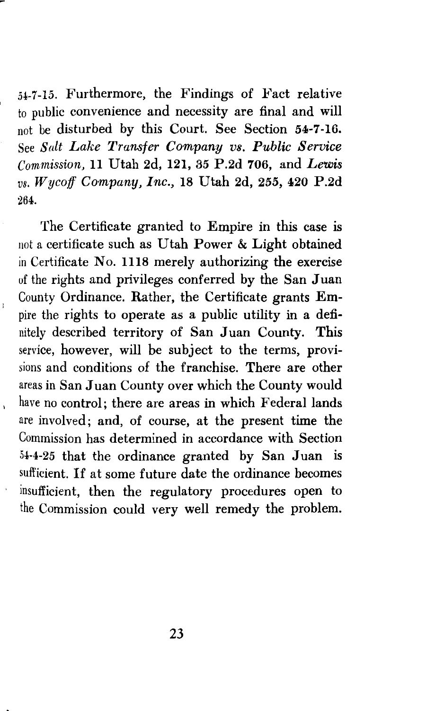j4-7-15. Furthermore, the Findings of Fact relative to public convenience and necessity are final and will not be disturbed by this Court. See Section 54-7-16. See *Salt Lake Transfer Company vs. Public Service Commission,* 11 Utah 2d, 121, 35 P.2d 706, and *Lewis vs. Wycoff Company, Inc.,* 18 Utah 2d, 255, 420 P.2d 264.

The Certificate granted to Empire in this case is not a certificate such as Utah Power & Light obtained in Certificate No. 1118 merely authorizing the exercise of the rights and privileges conferred by the San Juan County Ordinance. Rather, the Certificate grants Empire the rights to operate as a public utility in a definitely described territory of San Juan County. This service, however, will be subject to the terms, provisions and conditions of the franchise. There are other areas in San Juan County over which the County would have no control; there are areas in which Federal lands are involved; and, of course, at the present time the Commission has determined in accordance with Section 54-4-25 that the ordinance granted by San Juan is sufficient. If at some future date the ordinance becomes insufficient, then the regulatory procedures open to the Commission could very well remedy the problem.

 $\mathbf{r}$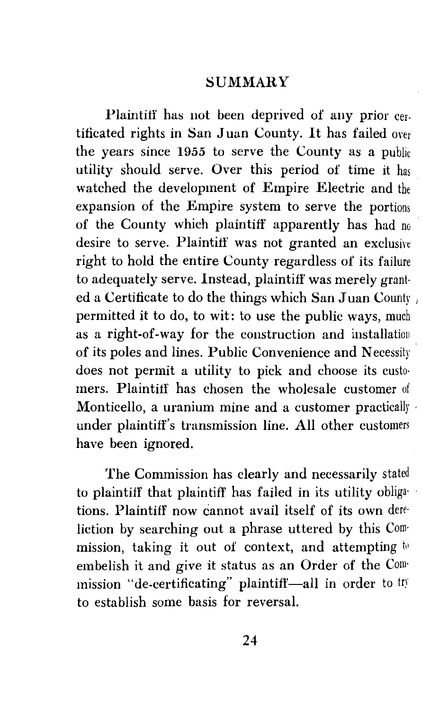### SUMMARY

Plaintiff has not been deprived of any prior certificated rights in San Juan County. It has failed over the years since 1955 to serve the County as a public utility should serve. Over this period of time it has watched the development of Empire Electric and the expansion of the Empire system to serve the portions of the County which plaintiff apparently has had no desire to serve. Plaintiff was not granted an exclusive right to hold the entire County regardless of its failure to adequately serve. Instead, plaintiff was merely grant· ed a Certificate to do the things which San Juan County 1 permitted it to do, to wit: to use the public ways, much as a right-of-way for the construction and installatiou of its poles and lines. Public Convenience and Necessity ' does not permit a utility to pick and choose its custo· mers. Plaintiff has chosen the wholesale customer of Monticello, a uranium mine and a customer practically under plaintiff's transmission line. All other customers have been ignored.

The Commission has clearly and necessarily stated to plaintiff that plaintiff has failed in its utility obligations. Plaintiff now cannot avail itself of its own *dere·*  liction by searching out a phrase uttered by this Com· mission, taking it out of context, and attempting  $<sup>th</sup>$ </sup> embelish it and give it status as an Order of the Com· mission "de-certificating" plaintiff-all in order to try to establish some basis for reversal.